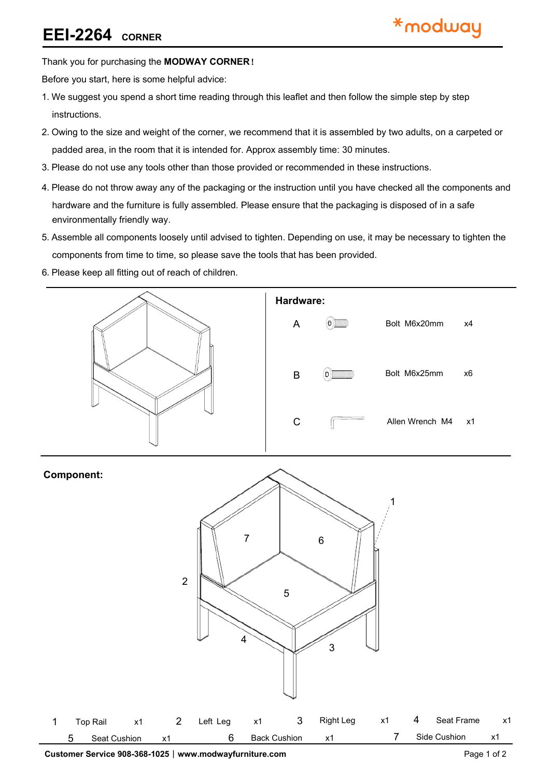### **EEI-2264 CORNER**

### Thank you for purchasing the **MODWAY CORNER**!

Before you start, here is some helpful advice:

- 1.We suggest you spend a short time reading through this leaflet and then follow the simple step by step instructions.
- 2.Owing to the size and weight of the corner, we recommend that it is assembled by two adults, on a carpeted or padded area, in the room that it is intended for. Approx assembly time: 30 minutes.
- 3.Please do not use any tools other than those provided or recommended in these instructions.
- 4.Please do not throw away any of the packaging or the instruction until you have checked all the components and hardware and the furniture is fully assembled. Please ensure that the packaging is disposed of in a safe environmentally friendly way.
- 5.Assemble all components loosely until advised to tighten. Depending on use, it may be necessary to tighten the components from time to time, so please save the tools that has been provided.
- 6.Please keep all fitting out of reach of children.